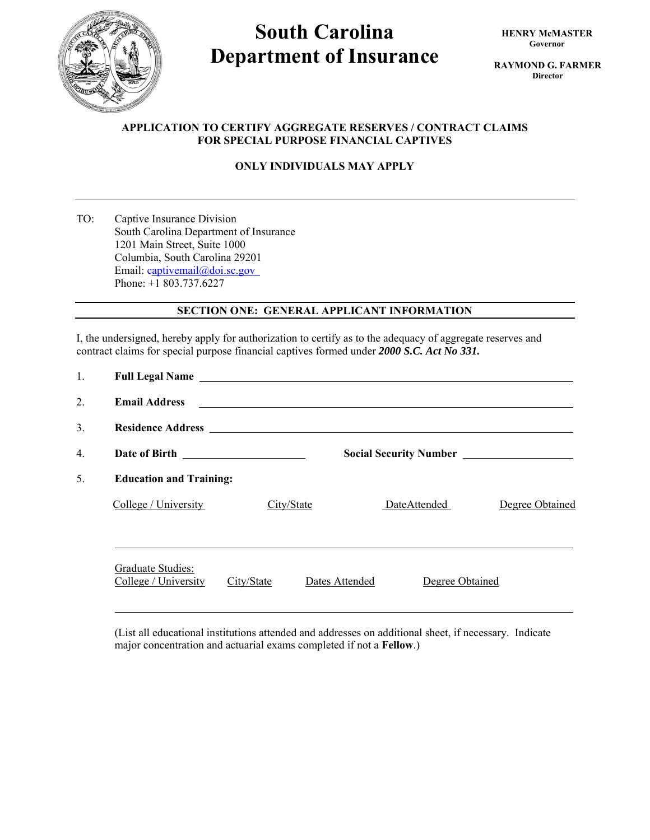

# **South Carolina Department of Insurance**

**RAYMOND G. FARMER Director** 

## **APPLICATION TO CERTIFY AGGREGATE RESERVES / CONTRACT CLAIMS FOR SPECIAL PURPOSE FINANCIAL CAPTIVES**

## **ONLY INDIVIDUALS MAY APPLY**

TO: Captive Insurance Division South Carolina Department of Insurance 1201 Main Street, Suite 1000 Columbia, South Carolina 29201 Email: captivemail@doi.sc.gov Phone: +1 803.737.6227

## **SECTION ONE: GENERAL APPLICANT INFORMATION**

I, the undersigned, hereby apply for authorization to certify as to the adequacy of aggregate reserves and contract claims for special purpose financial captives formed under *2000 S.C. Act No 331.*

| 1. | Full Legal Name Legal Name                |            |                                                                                                                      |                 |                 |  |  |
|----|-------------------------------------------|------------|----------------------------------------------------------------------------------------------------------------------|-----------------|-----------------|--|--|
| 2. | <b>Email Address</b>                      |            | <u> Alexandria de la contrada de la contrada de la contrada de la contrada de la contrada de la contrada de la c</u> |                 |                 |  |  |
| 3. |                                           |            |                                                                                                                      |                 |                 |  |  |
| 4. |                                           |            |                                                                                                                      |                 |                 |  |  |
| 5. | <b>Education and Training:</b>            |            |                                                                                                                      |                 |                 |  |  |
|    | College / University                      | City/State |                                                                                                                      | DateAttended    | Degree Obtained |  |  |
|    | Graduate Studies:<br>College / University | City/State | Dates Attended                                                                                                       | Degree Obtained |                 |  |  |

(List all educational institutions attended and addresses on additional sheet, if necessary. Indicate major concentration and actuarial exams completed if not a **Fellow**.)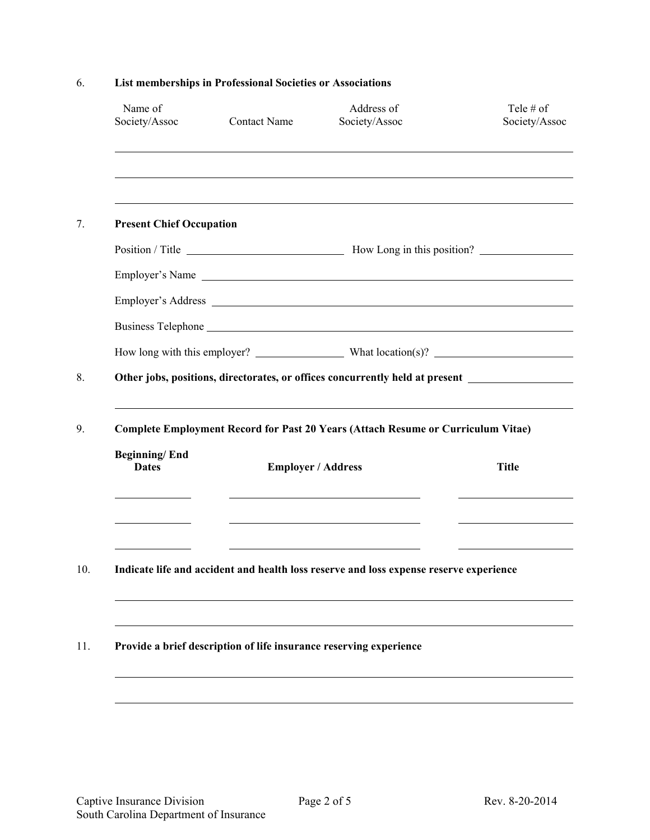|                                 | Tele $#$ of<br>Society/Assoc                                                                            |  |  |  |  |  |  |
|---------------------------------|---------------------------------------------------------------------------------------------------------|--|--|--|--|--|--|
|                                 |                                                                                                         |  |  |  |  |  |  |
| <b>Present Chief Occupation</b> |                                                                                                         |  |  |  |  |  |  |
|                                 |                                                                                                         |  |  |  |  |  |  |
| Employer's Name                 |                                                                                                         |  |  |  |  |  |  |
|                                 |                                                                                                         |  |  |  |  |  |  |
|                                 |                                                                                                         |  |  |  |  |  |  |
|                                 |                                                                                                         |  |  |  |  |  |  |
|                                 | <b>Complete Employment Record for Past 20 Years (Attach Resume or Curriculum Vitae)</b><br><b>Title</b> |  |  |  |  |  |  |
|                                 |                                                                                                         |  |  |  |  |  |  |
|                                 |                                                                                                         |  |  |  |  |  |  |
|                                 | Indicate life and accident and health loss reserve and loss expense reserve experience                  |  |  |  |  |  |  |

# 6. **List memberships in Professional Societies or Associations**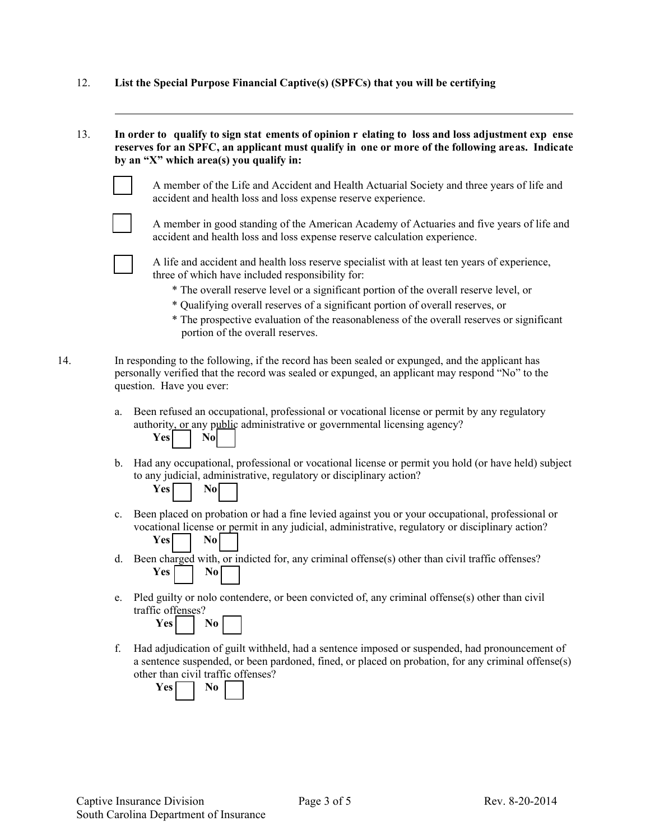- 12. **List the Special Purpose Financial Captive(s) (SPFCs) that you will be certifying**
- 13. **In order to qualify to sign stat ements of opinion r elating to loss and loss adjustment exp ense reserves for an SPFC, an applicant must qualify in one or more of the following areas. Indicate by an "X" which area(s) you qualify in:**



 A member of the Life and Accident and Health Actuarial Society and three years of life and accident and health loss and loss expense reserve experience.



 A member in good standing of the American Academy of Actuaries and five years of life and accident and health loss and loss expense reserve calculation experience.



 A life and accident and health loss reserve specialist with at least ten years of experience, three of which have included responsibility for:

- \* The overall reserve level or a significant portion of the overall reserve level, or
- \* Qualifying overall reserves of a significant portion of overall reserves, or
- \* The prospective evaluation of the reasonableness of the overall reserves or significant portion of the overall reserves.

14. In responding to the following, if the record has been sealed or expunged, and the applicant has personally verified that the record was sealed or expunged, an applicant may respond "No" to the question. Have you ever:

> a. Been refused an occupational, professional or vocational license or permit by any regulatory authority, or any public administrative or governmental licensing agency?



b. Had any occupational, professional or vocational license or permit you hold (or have held) subject to any judicial, administrative, regulatory or disciplinary action?

| 86 | m |  |
|----|---|--|
|    |   |  |

- c. Been placed on probation or had a fine levied against you or your occupational, professional or vocational license or permit in any judicial, administrative, regulatory or disciplinary action? **Yes** | No
- d. Been charged with, or indicted for, any criminal offense(s) other than civil traffic offenses? Yes No
- e. Pled guilty or nolo contendere, or been convicted of, any criminal offense(s) other than civil traffic offenses?



f. Had adjudication of guilt withheld, had a sentence imposed or suspended, had pronouncement of a sentence suspended, or been pardoned, fined, or placed on probation, for any criminal offense(s) other than civil traffic offenses?

**Yes** No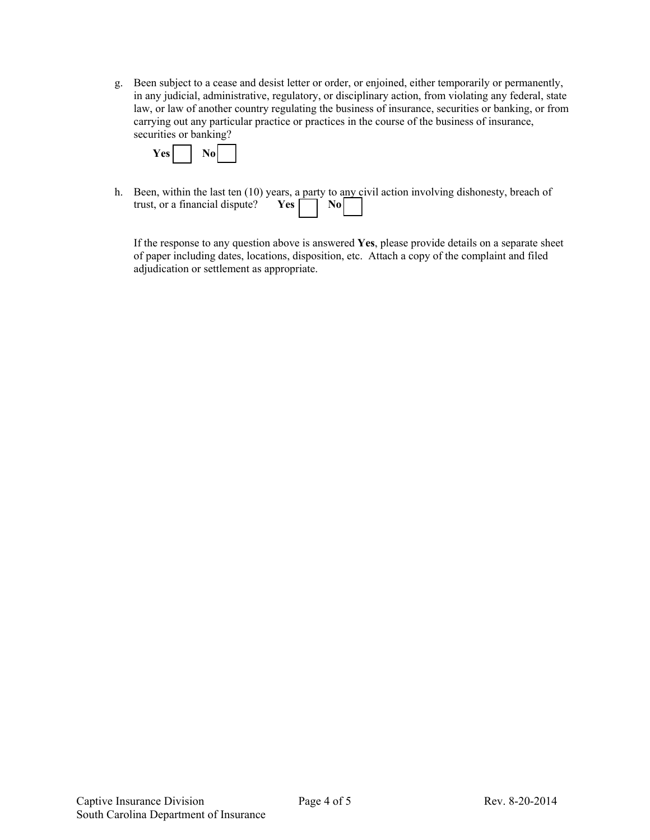g. Been subject to a cease and desist letter or order, or enjoined, either temporarily or permanently, in any judicial, administrative, regulatory, or disciplinary action, from violating any federal, state law, or law of another country regulating the business of insurance, securities or banking, or from carrying out any particular practice or practices in the course of the business of insurance, securities or banking?



h. Been, within the last ten (10) years, a party to any civil action involving dishonesty, breach of trust, or a financial dispute? **Yes**  $\Box$  **No** 

If the response to any question above is answered **Yes**, please provide details on a separate sheet of paper including dates, locations, disposition, etc. Attach a copy of the complaint and filed adjudication or settlement as appropriate.